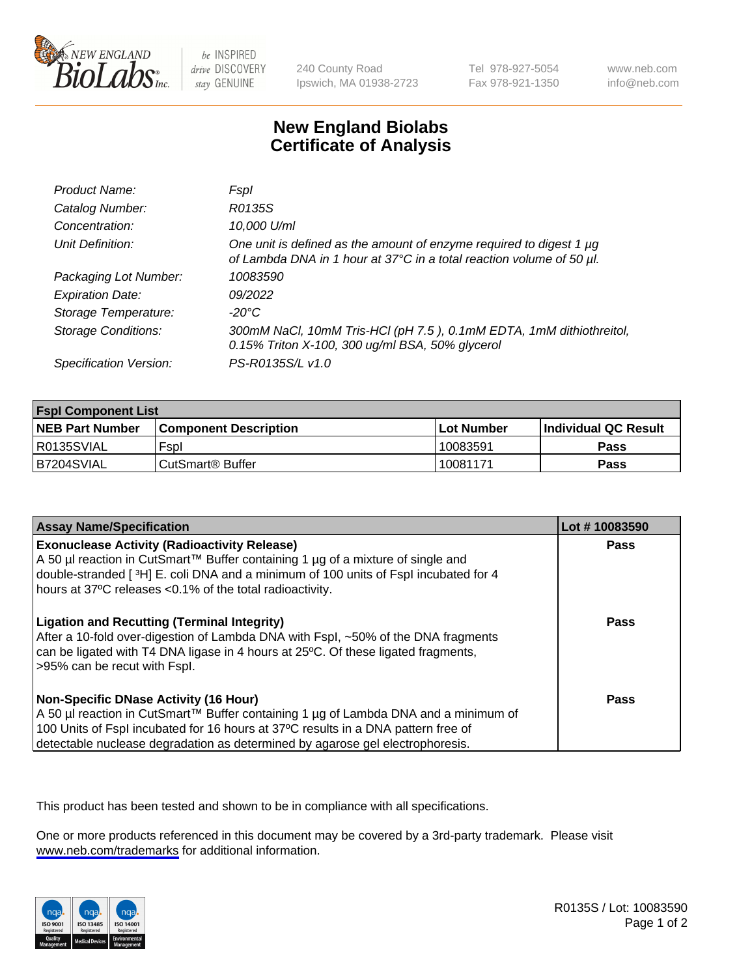

be INSPIRED drive DISCOVERY stay GENUINE

240 County Road Ipswich, MA 01938-2723 Tel 978-927-5054 Fax 978-921-1350

www.neb.com info@neb.com

## **New England Biolabs Certificate of Analysis**

| Product Name:              | <b>Fspl</b>                                                                                                                                 |
|----------------------------|---------------------------------------------------------------------------------------------------------------------------------------------|
| Catalog Number:            | R0135S                                                                                                                                      |
| Concentration:             | 10,000 U/ml                                                                                                                                 |
| Unit Definition:           | One unit is defined as the amount of enzyme required to digest 1 µg<br>of Lambda DNA in 1 hour at 37°C in a total reaction volume of 50 µl. |
| Packaging Lot Number:      | 10083590                                                                                                                                    |
| <b>Expiration Date:</b>    | 09/2022                                                                                                                                     |
| Storage Temperature:       | $-20^{\circ}$ C                                                                                                                             |
| <b>Storage Conditions:</b> | 300mM NaCl, 10mM Tris-HCl (pH 7.5), 0.1mM EDTA, 1mM dithiothreitol,<br>0.15% Triton X-100, 300 ug/ml BSA, 50% glycerol                      |
| Specification Version:     | PS-R0135S/L v1.0                                                                                                                            |

| <b>Fspl Component List</b> |                              |             |                      |  |
|----------------------------|------------------------------|-------------|----------------------|--|
| <b>NEB Part Number</b>     | <b>Component Description</b> | ⊺Lot Number | Individual QC Result |  |
| R0135SVIAL                 | Fspl                         | 10083591    | <b>Pass</b>          |  |
| B7204SVIAL                 | ' CutSmart® Buffer_          | 10081171    | Pass                 |  |

| <b>Assay Name/Specification</b>                                                                                                                                                                                                                                                                           | Lot #10083590 |
|-----------------------------------------------------------------------------------------------------------------------------------------------------------------------------------------------------------------------------------------------------------------------------------------------------------|---------------|
| <b>Exonuclease Activity (Radioactivity Release)</b><br>A 50 µl reaction in CutSmart™ Buffer containing 1 µg of a mixture of single and<br>double-stranded [3H] E. coli DNA and a minimum of 100 units of Fspl incubated for 4<br>hours at 37°C releases <0.1% of the total radioactivity.                 | Pass          |
| <b>Ligation and Recutting (Terminal Integrity)</b><br>After a 10-fold over-digestion of Lambda DNA with Fspl, ~50% of the DNA fragments<br>can be ligated with T4 DNA ligase in 4 hours at 25 °C. Of these ligated fragments,<br>>95% can be recut with Fspl.                                             | Pass          |
| <b>Non-Specific DNase Activity (16 Hour)</b><br>A 50 µl reaction in CutSmart™ Buffer containing 1 µg of Lambda DNA and a minimum of<br>100 Units of Fspl incubated for 16 hours at 37°C results in a DNA pattern free of<br>detectable nuclease degradation as determined by agarose gel electrophoresis. | <b>Pass</b>   |

This product has been tested and shown to be in compliance with all specifications.

One or more products referenced in this document may be covered by a 3rd-party trademark. Please visit <www.neb.com/trademarks>for additional information.